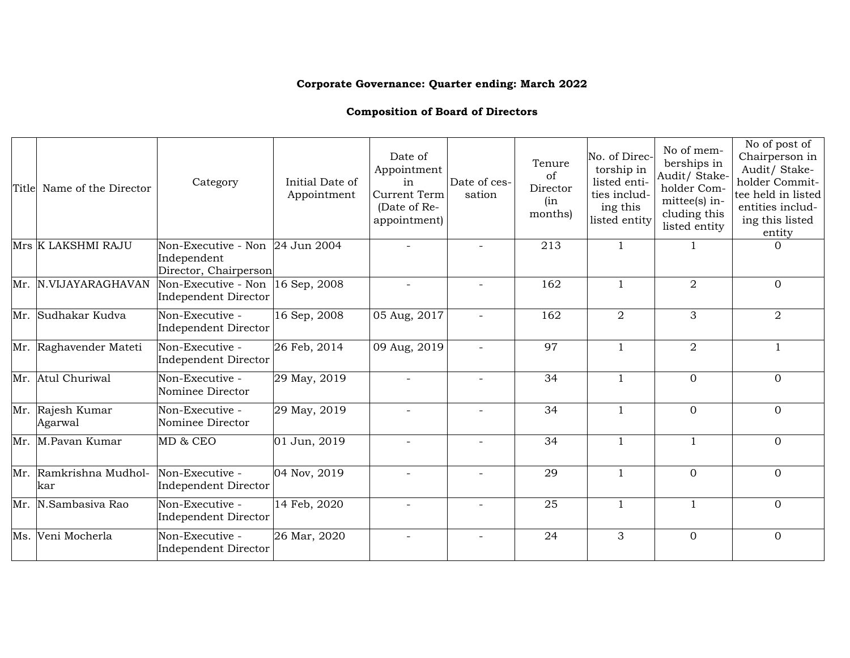## **Corporate Governance: Quarter ending: March 2022**

## **Composition of Board of Directors**

| Title | Name of the Director          | Category                                                                | Initial Date of<br>Appointment | Date of<br>Appointment<br>in<br><b>Current Term</b><br>(Date of Re-<br>appointment) | Date of ces-<br>sation | Tenure<br>of<br>Director<br>(in<br>months) | No. of Direc-<br>torship in<br>listed enti-<br>ties includ-<br>ing this<br>listed entity | No of mem-<br>berships in<br>Audit/ Stake-<br>holder Com-<br>mittee(s) in-<br>cluding this<br>listed entity | No of post of<br>Chairperson in<br>Audit/ Stake-<br>holder Commit-<br>tee held in listed<br>entities includ-<br>ing this listed<br>entity |
|-------|-------------------------------|-------------------------------------------------------------------------|--------------------------------|-------------------------------------------------------------------------------------|------------------------|--------------------------------------------|------------------------------------------------------------------------------------------|-------------------------------------------------------------------------------------------------------------|-------------------------------------------------------------------------------------------------------------------------------------------|
|       | Mrs K LAKSHMI RAJU            | Non-Executive - Non 24 Jun 2004<br>Independent<br>Director, Chairperson |                                |                                                                                     |                        | 213                                        | $\mathbf{1}$                                                                             |                                                                                                             | $\Omega$                                                                                                                                  |
|       | Mr. N.VIJAYARAGHAVAN          | Non-Executive - Non $ 16$ Sep, 2008<br>Independent Director             |                                |                                                                                     |                        | 162                                        | 1                                                                                        | $\overline{2}$                                                                                              | $\Omega$                                                                                                                                  |
|       | Mr. Sudhakar Kudva            | Non-Executive -<br>Independent Director                                 | 16 Sep, 2008                   | 05 Aug, 2017                                                                        |                        | 162                                        | $\overline{2}$                                                                           | 3                                                                                                           | 2                                                                                                                                         |
|       | Mr. Raghavender Mateti        | Non-Executive -<br>Independent Director                                 | 26 Feb, 2014                   | 09 Aug, 2019                                                                        |                        | 97                                         | $\mathbf{1}$                                                                             | $\overline{2}$                                                                                              | $\mathbf{1}$                                                                                                                              |
|       | Mr. Atul Churiwal             | Non-Executive -<br>Nominee Director                                     | 29 May, 2019                   |                                                                                     |                        | 34                                         | $\mathbf{1}$                                                                             | $\mathbf{0}$                                                                                                | $\overline{0}$                                                                                                                            |
|       | Mr. Rajesh Kumar<br>Agarwal   | Non-Executive -<br>Nominee Director                                     | 29 May, 2019                   | $\overline{\phantom{a}}$                                                            |                        | 34                                         | $\mathbf{1}$                                                                             | $\Omega$                                                                                                    | $\Omega$                                                                                                                                  |
|       | Mr. M.Pavan Kumar             | MD & CEO                                                                | 01 Jun, 2019                   |                                                                                     |                        | 34                                         | $\mathbf{1}$                                                                             | $\mathbf{1}$                                                                                                | $\overline{0}$                                                                                                                            |
|       | Mr. Ramkrishna Mudhol-<br>kar | Non-Executive -<br>Independent Director                                 | 04 Nov, 2019                   | $\equiv$                                                                            |                        | 29                                         | $\mathbf{1}$                                                                             | $\mathbf{0}$                                                                                                | $\Omega$                                                                                                                                  |
|       | Mr. N.Sambasiva Rao           | Non-Executive -<br>Independent Director                                 | 14 Feb, 2020                   |                                                                                     |                        | 25                                         | 1                                                                                        | -1                                                                                                          | $\Omega$                                                                                                                                  |
|       | Ms. Veni Mocherla             | Non-Executive -<br>Independent Director                                 | 26 Mar, 2020                   |                                                                                     |                        | 24                                         | 3                                                                                        | $\Omega$                                                                                                    | $\Omega$                                                                                                                                  |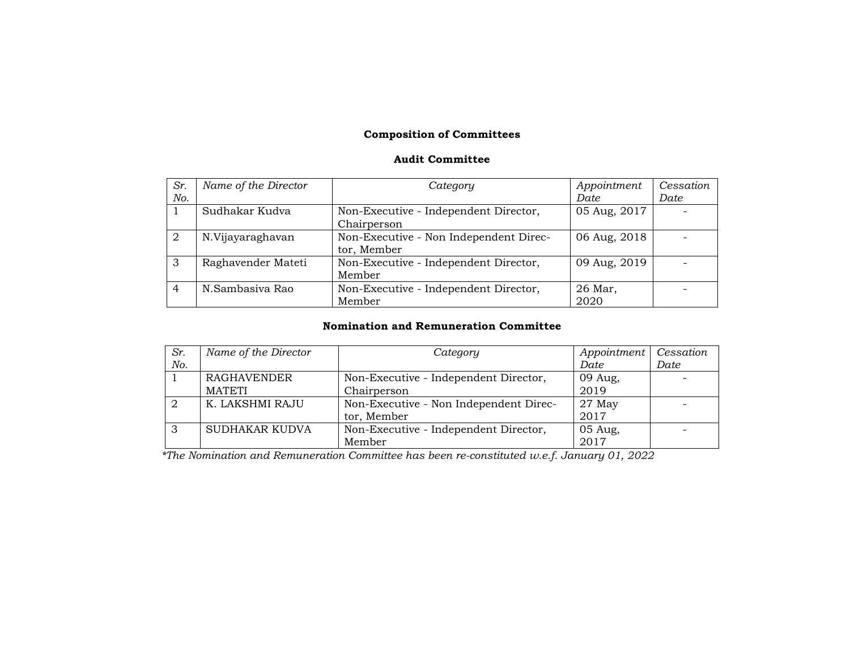# **Composition of Committees**

#### **Audit Committee**

| Sr.            | Name of the Director | Category                                              | Appointment     | Cessation |
|----------------|----------------------|-------------------------------------------------------|-----------------|-----------|
| No.            |                      |                                                       | Date            | Date      |
|                | Sudhakar Kudva       | Non-Executive - Independent Director,<br>Chairperson  | 05 Aug, 2017    |           |
| $\mathcal{D}$  | N.Vijayaraghavan     | Non-Executive - Non Independent Direc-<br>tor, Member | 06 Aug, 2018    |           |
| 3              | Raghavender Mateti   | Non-Executive - Independent Director,<br>Member       | 09 Aug, 2019    |           |
| $\overline{4}$ | N.Sambasiva Rao      | Non-Executive - Independent Director,<br>Member       | 26 Mar,<br>2020 |           |

### **Nomination and Remuneration Committee**

| Sr. | Name of the Director | Category                               | Appointment | Cessation |
|-----|----------------------|----------------------------------------|-------------|-----------|
| No. |                      |                                        | Date        | Date      |
|     | <b>RAGHAVENDER</b>   | Non-Executive - Independent Director,  | 09 Aug,     |           |
|     | <b>MATETI</b>        | Chairperson                            | 2019        |           |
|     | K. LAKSHMI RAJU      | Non-Executive - Non Independent Direc- | $27$ May    |           |
|     |                      | tor, Member                            | 2017        |           |
|     | SUDHAKAR KUDVA       | Non-Executive - Independent Director,  | 05 Aug,     |           |
|     |                      | Member                                 | 2017        |           |

 *\*The Nomination and Remuneration Committee has been re-constituted w.e.f. January 01, 2022*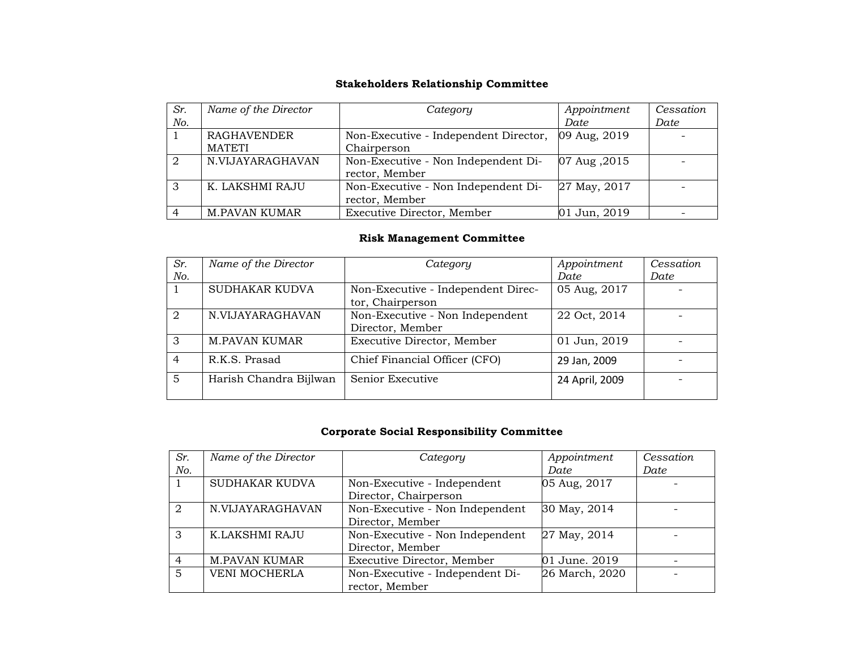## **Stakeholders Relationship Committee**

| Sr. | Name of the Director | Category                              | Appointment  | Cessation |
|-----|----------------------|---------------------------------------|--------------|-----------|
| No. |                      |                                       | Date         | Date      |
|     | <b>RAGHAVENDER</b>   | Non-Executive - Independent Director, | 09 Aug, 2019 |           |
|     | <b>MATETI</b>        | Chairperson                           |              |           |
| 2   | N.VIJAYARAGHAVAN     | Non-Executive - Non Independent Di-   | 07 Aug, 2015 |           |
|     |                      | rector, Member                        |              |           |
| 3   | K. LAKSHMI RAJU      | Non-Executive - Non Independent Di-   | 27 May, 2017 |           |
|     |                      | rector, Member                        |              |           |
| 4   | M.PAVAN KUMAR        | Executive Director, Member            | 01 Jun, 2019 |           |

## **Risk Management Committee**

| Sr.            | Name of the Director   | Category                                               | Appointment    | Cessation |
|----------------|------------------------|--------------------------------------------------------|----------------|-----------|
| No.            |                        |                                                        | Date           | Date      |
|                | SUDHAKAR KUDVA         | Non-Executive - Independent Direc-<br>tor, Chairperson | 05 Aug, 2017   |           |
| 2              | N.VIJAYARAGHAVAN       | Non-Executive - Non Independent<br>Director, Member    | 22 Oct, 2014   |           |
| 3              | <b>M.PAVAN KUMAR</b>   | Executive Director, Member                             | 01 Jun, 2019   |           |
| $\overline{4}$ | R.K.S. Prasad          | Chief Financial Officer (CFO)                          | 29 Jan, 2009   |           |
| 5              | Harish Chandra Bijlwan | Senior Executive                                       | 24 April, 2009 |           |

## **Corporate Social Responsibility Committee**

| Sr.            | Name of the Director | Category                        | Appointment    | Cessation |
|----------------|----------------------|---------------------------------|----------------|-----------|
| No.            |                      |                                 | Date           | Date      |
|                | SUDHAKAR KUDVA       | Non-Executive - Independent     | 05 Aug, 2017   |           |
|                |                      | Director, Chairperson           |                |           |
| $\mathcal{D}$  | N.VIJAYARAGHAVAN     | Non-Executive - Non Independent | 30 May, 2014   |           |
|                |                      | Director, Member                |                |           |
| 3              | K.LAKSHMI RAJU       | Non-Executive - Non Independent | 27 May, 2014   |           |
|                |                      | Director, Member                |                |           |
| $\overline{4}$ | <b>M.PAVAN KUMAR</b> | Executive Director, Member      | 01 June. 2019  |           |
| 5              | <b>VENI MOCHERLA</b> | Non-Executive - Independent Di- | 26 March, 2020 |           |
|                |                      | rector, Member                  |                |           |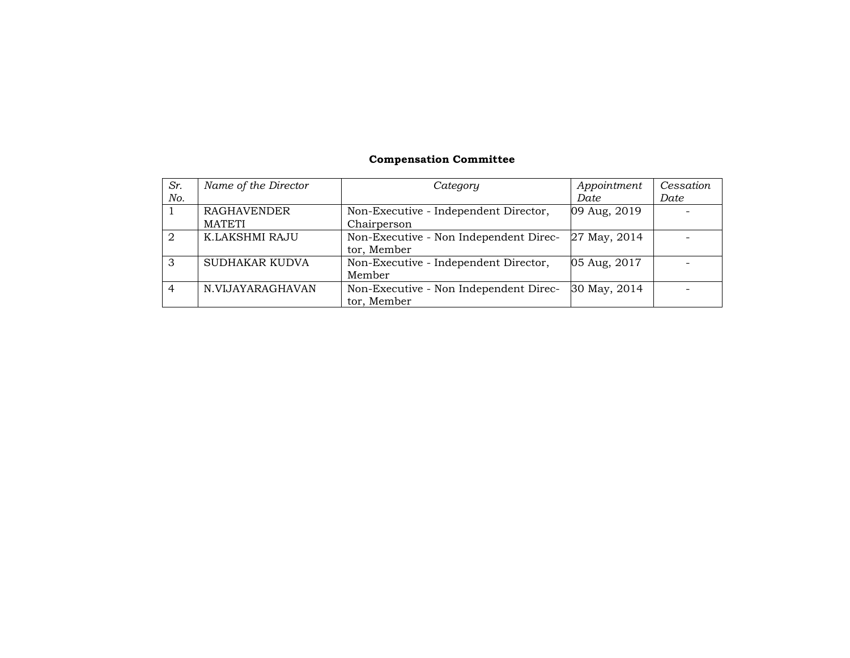## **Compensation Committee**

| Sr.            | Name of the Director | Category                               | Appointment  | <i>Cessation</i> |
|----------------|----------------------|----------------------------------------|--------------|------------------|
| No.            |                      |                                        | Date         | Date             |
|                | <b>RAGHAVENDER</b>   | Non-Executive - Independent Director,  | 09 Aug, 2019 |                  |
|                | <b>MATETI</b>        | Chairperson                            |              |                  |
| $\mathcal{D}$  | K.LAKSHMI RAJU       | Non-Executive - Non Independent Direc- | 27 May, 2014 |                  |
|                |                      | tor, Member                            |              |                  |
| 3              | SUDHAKAR KUDVA       | Non-Executive - Independent Director,  | 05 Aug, 2017 |                  |
|                |                      | Member                                 |              |                  |
| $\overline{4}$ | N.VIJAYARAGHAVAN     | Non-Executive - Non Independent Direc- | 30 May, 2014 |                  |
|                |                      | tor, Member                            |              |                  |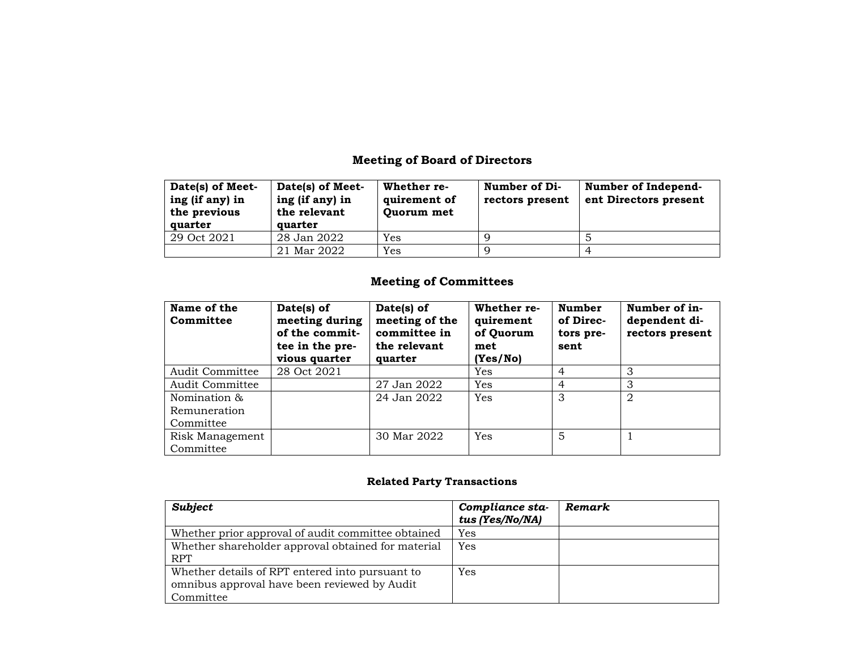# **Meeting of Board of Directors**

| Date(s) of Meet-<br>ing (if any) in<br>the previous<br>quarter | Date(s) of Meet-<br>ing (if any) in<br>the relevant<br>quarter | Whether re-<br>quirement of<br>Quorum met | Number of Di-<br>rectors present | Number of Independ-<br>ent Directors present |
|----------------------------------------------------------------|----------------------------------------------------------------|-------------------------------------------|----------------------------------|----------------------------------------------|
| 29 Oct 2021                                                    | 28 Jan 2022                                                    | Yes                                       |                                  |                                              |
|                                                                | 21 Mar 2022                                                    | Yes                                       |                                  |                                              |

## **Meeting of Committees**

| Name of the<br>Committee | Date(s) of<br>meeting during<br>of the commit-<br>tee in the pre-<br>vious quarter | Date(s) of<br>meeting of the<br>committee in<br>the relevant<br>quarter | Whether re-<br>quirement<br>of Quorum<br>met<br>(Yes/No) | <b>Number</b><br>of Direc-<br>tors pre-<br>sent | Number of in-<br>dependent di-<br>rectors present |
|--------------------------|------------------------------------------------------------------------------------|-------------------------------------------------------------------------|----------------------------------------------------------|-------------------------------------------------|---------------------------------------------------|
| <b>Audit Committee</b>   | 28 Oct 2021                                                                        |                                                                         | Yes                                                      | 4                                               | 3                                                 |
| Audit Committee          |                                                                                    | 27 Jan 2022                                                             | Yes                                                      | 4                                               | 3                                                 |
| Nomination &             |                                                                                    | 24 Jan 2022                                                             | Yes                                                      | 3                                               | 2                                                 |
| Remuneration             |                                                                                    |                                                                         |                                                          |                                                 |                                                   |
| Committee                |                                                                                    |                                                                         |                                                          |                                                 |                                                   |
| Risk Management          |                                                                                    | 30 Mar 2022                                                             | Yes                                                      | 5                                               |                                                   |
| Committee                |                                                                                    |                                                                         |                                                          |                                                 |                                                   |

# **Related Party Transactions**

| <b>Subject</b>                                                                                               | Compliance sta-<br>tus (Yes/No/NA) | Remark |
|--------------------------------------------------------------------------------------------------------------|------------------------------------|--------|
| Whether prior approval of audit committee obtained                                                           | Yes                                |        |
| Whether shareholder approval obtained for material<br><b>RPT</b>                                             | Yes                                |        |
| Whether details of RPT entered into pursuant to<br>omnibus approval have been reviewed by Audit<br>Committee | Yes                                |        |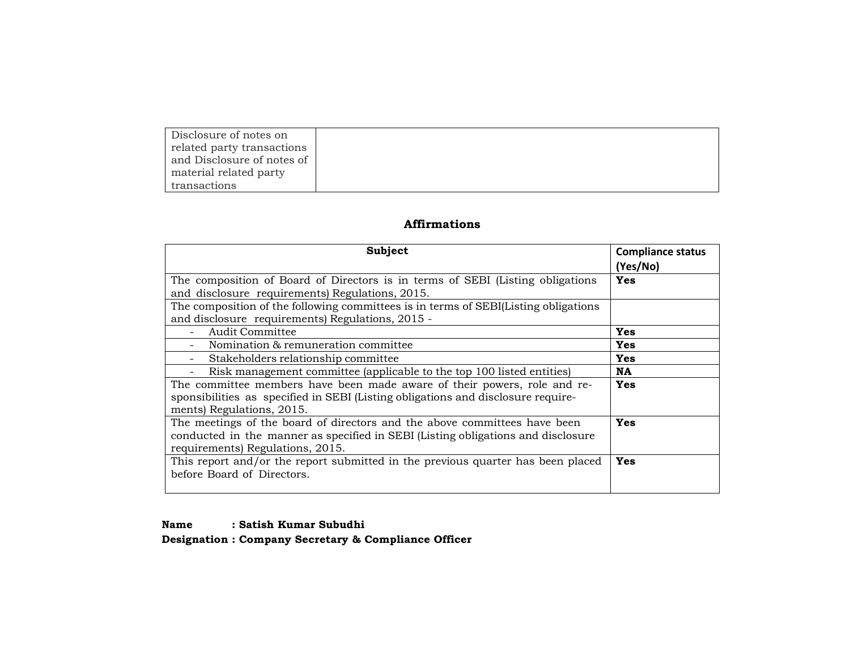| Disclosure of notes on     |
|----------------------------|
| related party transactions |
| and Disclosure of notes of |
| material related party     |
| transactions               |

# **Affirmations**

| Subject                                                                             | <b>Compliance status</b> |
|-------------------------------------------------------------------------------------|--------------------------|
| The composition of Board of Directors is in terms of SEBI (Listing obligations)     | (Yes/No)<br>Yes          |
| and disclosure requirements) Regulations, 2015.                                     |                          |
| The composition of the following committees is in terms of SEBI(Listing obligations |                          |
| and disclosure requirements) Regulations, 2015 -                                    |                          |
| Audit Committee                                                                     | <b>Yes</b>               |
| Nomination & remuneration committee                                                 | <b>Yes</b>               |
| Stakeholders relationship committee                                                 | <b>Yes</b>               |
| Risk management committee (applicable to the top 100 listed entities)               | <b>NA</b>                |
| The committee members have been made aware of their powers, role and re-            | <b>Yes</b>               |
| sponsibilities as specified in SEBI (Listing obligations and disclosure require-    |                          |
| ments) Regulations, 2015.                                                           |                          |
| The meetings of the board of directors and the above committees have been           | <b>Yes</b>               |
| conducted in the manner as specified in SEBI (Listing obligations and disclosure    |                          |
| requirements) Regulations, 2015.                                                    |                          |
| This report and/or the report submitted in the previous quarter has been placed     | Yes                      |
| before Board of Directors.                                                          |                          |
|                                                                                     |                          |

#### **Name : Satish Kumar Subudhi**

**Designation : Company Secretary & Compliance Officer**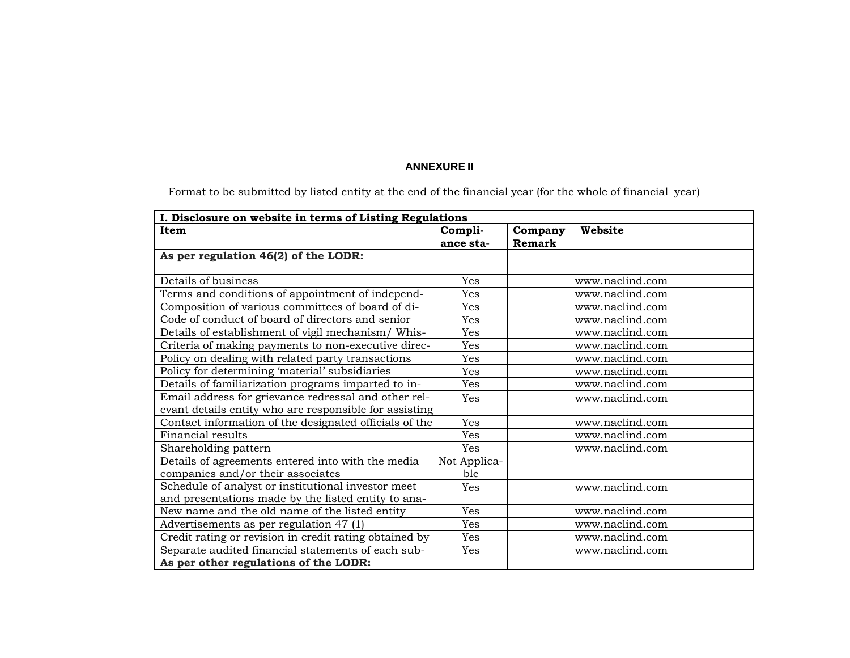## **ANNEXURE II**

Format to be submitted by listed entity at the end of the financial year (for the whole of financial year)

|                                                        | I. Disclosure on website in terms of Listing Regulations |         |                 |
|--------------------------------------------------------|----------------------------------------------------------|---------|-----------------|
| Item                                                   | Compli-                                                  | Company | Website         |
|                                                        | ance sta-                                                | Remark  |                 |
| As per regulation 46(2) of the LODR:                   |                                                          |         |                 |
|                                                        |                                                          |         |                 |
| Details of business                                    | Yes                                                      |         | www.naclind.com |
| Terms and conditions of appointment of independ-       | Yes                                                      |         | www.naclind.com |
| Composition of various committees of board of di-      | Yes                                                      |         | www.naclind.com |
| Code of conduct of board of directors and senior       | Yes                                                      |         | www.naclind.com |
| Details of establishment of vigil mechanism/ Whis-     | Yes                                                      |         | www.naclind.com |
| Criteria of making payments to non-executive direc-    | Yes                                                      |         | www.naclind.com |
| Policy on dealing with related party transactions      | Yes                                                      |         | www.naclind.com |
| Policy for determining 'material' subsidiaries         | Yes                                                      |         | www.naclind.com |
| Details of familiarization programs imparted to in-    | Yes                                                      |         | www.naclind.com |
| Email address for grievance redressal and other rel-   | Yes                                                      |         | www.naclind.com |
| evant details entity who are responsible for assisting |                                                          |         |                 |
| Contact information of the designated officials of the | Yes                                                      |         | www.naclind.com |
| Financial results                                      | Yes                                                      |         | www.naclind.com |
| Shareholding pattern                                   | Yes                                                      |         | www.naclind.com |
| Details of agreements entered into with the media      | Not Applica-                                             |         |                 |
| companies and/or their associates                      | ble                                                      |         |                 |
| Schedule of analyst or institutional investor meet     | Yes                                                      |         | www.naclind.com |
| and presentations made by the listed entity to ana-    |                                                          |         |                 |
| New name and the old name of the listed entity         | Yes                                                      |         | www.naclind.com |
| Advertisements as per regulation 47 (1)                | Yes                                                      |         | www.naclind.com |
| Credit rating or revision in credit rating obtained by | Yes                                                      |         | www.naclind.com |
| Separate audited financial statements of each sub-     | Yes                                                      |         | www.naclind.com |
| As per other regulations of the LODR:                  |                                                          |         |                 |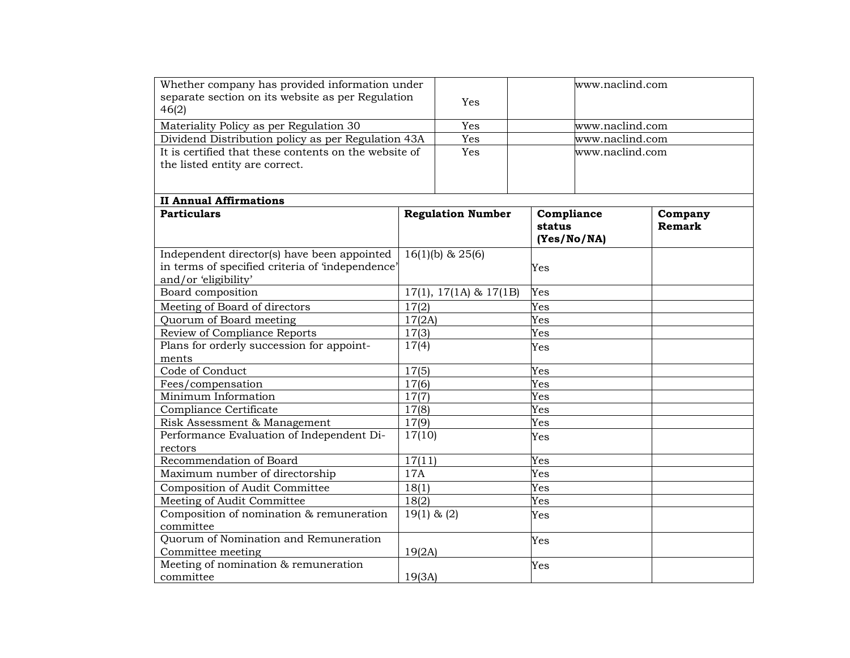| Whether company has provided information under<br>separate section on its website as per Regulation<br>46(2)            |               | Yes                            | www.naclind.com                     |                   |
|-------------------------------------------------------------------------------------------------------------------------|---------------|--------------------------------|-------------------------------------|-------------------|
| Materiality Policy as per Regulation 30                                                                                 |               | Yes                            | www.naclind.com                     |                   |
| Dividend Distribution policy as per Regulation 43A                                                                      |               | Yes                            | www.naclind.com                     |                   |
| It is certified that these contents on the website of                                                                   |               | Yes                            | www.naclind.com                     |                   |
| the listed entity are correct.                                                                                          |               |                                |                                     |                   |
|                                                                                                                         |               |                                |                                     |                   |
|                                                                                                                         |               |                                |                                     |                   |
| <b>II Annual Affirmations</b>                                                                                           |               |                                |                                     |                   |
| <b>Particulars</b>                                                                                                      |               | <b>Regulation Number</b>       | Compliance<br>status<br>(Yes/No/NA) | Company<br>Remark |
| Independent director(s) have been appointed<br>in terms of specified criteria of 'independence'<br>and/or 'eligibility' |               | $\overline{16(1)}$ (b) & 25(6) | Yes                                 |                   |
| Board composition                                                                                                       |               | $17(1), 17(1A)$ & $17(1B)$     | Yes                                 |                   |
| Meeting of Board of directors                                                                                           | 17(2)         |                                | Yes                                 |                   |
| Quorum of Board meeting                                                                                                 | 17(2A)        |                                | Yes                                 |                   |
| Review of Compliance Reports                                                                                            | 17(3)         |                                | Yes                                 |                   |
| Plans for orderly succession for appoint-                                                                               | 17(4)         |                                | Yes                                 |                   |
| ments                                                                                                                   |               |                                |                                     |                   |
| Code of Conduct                                                                                                         | 17(5)         |                                | Yes                                 |                   |
| Fees/compensation                                                                                                       | 17(6)         |                                | Yes                                 |                   |
| Minimum Information                                                                                                     | 17(7)         |                                | Yes                                 |                   |
| Compliance Certificate                                                                                                  | 17(8)         |                                | Yes                                 |                   |
| Risk Assessment & Management                                                                                            | 17(9)         |                                | Yes                                 |                   |
| Performance Evaluation of Independent Di-                                                                               | 17(10)        |                                | Yes                                 |                   |
| rectors                                                                                                                 |               |                                |                                     |                   |
| Recommendation of Board                                                                                                 | 17(11)        |                                | Yes                                 |                   |
| Maximum number of directorship                                                                                          | 17A           |                                | Yes                                 |                   |
| Composition of Audit Committee                                                                                          | 18(1)         |                                | Yes                                 |                   |
| Meeting of Audit Committee                                                                                              | 18(2)         |                                | Yes                                 |                   |
| Composition of nomination & remuneration                                                                                | $19(1)$ & (2) |                                | Yes                                 |                   |
| committee                                                                                                               |               |                                |                                     |                   |
| Quorum of Nomination and Remuneration                                                                                   |               |                                | Yes                                 |                   |
| Committee meeting                                                                                                       | 19(2A)        |                                |                                     |                   |
| Meeting of nomination & remuneration<br>committee                                                                       | 19(3A)        |                                | Yes                                 |                   |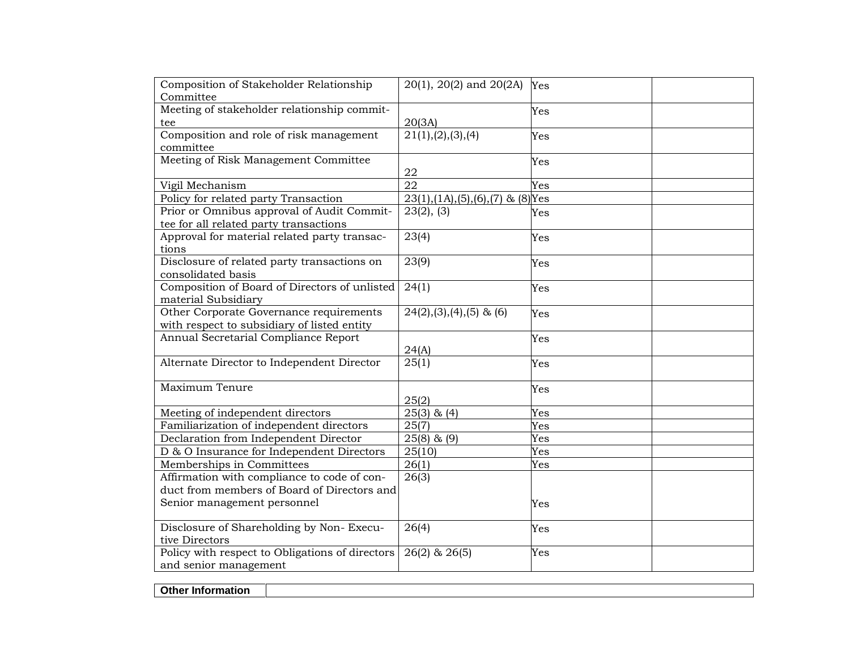| Composition of Stakeholder Relationship         | 20(1), 20(2) and 20(2A)                  | Yes |
|-------------------------------------------------|------------------------------------------|-----|
| Committee                                       |                                          |     |
| Meeting of stakeholder relationship commit-     |                                          | Yes |
| tee                                             | 20(3A)                                   |     |
| Composition and role of risk management         | 21(1), (2), (3), (4)                     | Yes |
| committee                                       |                                          |     |
| Meeting of Risk Management Committee            |                                          | Yes |
|                                                 | 22                                       |     |
| Vigil Mechanism                                 | 22                                       | Yes |
| Policy for related party Transaction            | $23(1), (1A), (5), (6), (7)$ & $(8)$ Yes |     |
| Prior or Omnibus approval of Audit Commit-      | 23(2), (3)                               | Yes |
| tee for all related party transactions          |                                          |     |
| Approval for material related party transac-    | 23(4)                                    | Yes |
| tions                                           |                                          |     |
| Disclosure of related party transactions on     | 23(9)                                    | Yes |
| consolidated basis                              |                                          |     |
| Composition of Board of Directors of unlisted   | 24(1)                                    | Yes |
| material Subsidiary                             |                                          |     |
| Other Corporate Governance requirements         | $24(2), (3), (4), (5)$ & (6)             | Yes |
| with respect to subsidiary of listed entity     |                                          |     |
| Annual Secretarial Compliance Report            |                                          | Yes |
|                                                 | 24(A)                                    |     |
| Alternate Director to Independent Director      | 25(1)                                    | Yes |
|                                                 |                                          |     |
| Maximum Tenure                                  |                                          | Yes |
|                                                 | 25(2)                                    |     |
| Meeting of independent directors                | $25(3)$ & $(4)$                          | Yes |
| Familiarization of independent directors        | 25(7)                                    | Yes |
| Declaration from Independent Director           | $25(8)$ & $(9)$                          | Yes |
| D & O Insurance for Independent Directors       | 25(10)                                   | Yes |
| Memberships in Committees                       | 26(1)                                    | Yes |
| Affirmation with compliance to code of con-     | 26(3)                                    |     |
| duct from members of Board of Directors and     |                                          |     |
| Senior management personnel                     |                                          | Yes |
|                                                 |                                          |     |
| Disclosure of Shareholding by Non-Execu-        | 26(4)                                    | Yes |
| tive Directors                                  |                                          |     |
| Policy with respect to Obligations of directors | $26(2)$ & $26(5)$                        | Yes |
| and senior management                           |                                          |     |

**Other Information**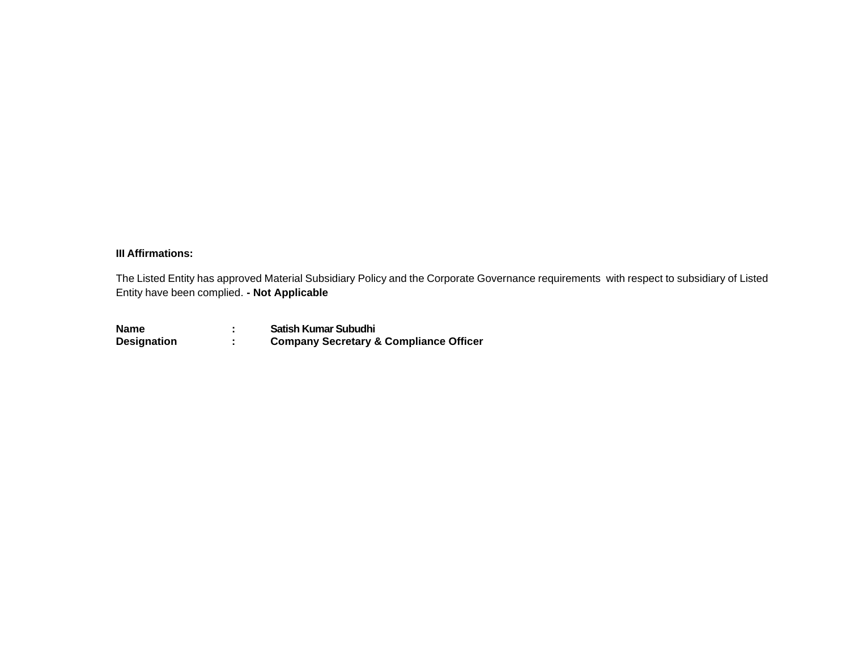### **III Affirmations:**

The Listed Entity has approved Material Subsidiary Policy and the Corporate Governance requirements with respect to subsidiary of Listed Entity have been complied. **- Not Applicable**

| <b>Name</b>        | Satish Kumar Subudhi                              |
|--------------------|---------------------------------------------------|
| <b>Designation</b> | <b>Company Secretary &amp; Compliance Officer</b> |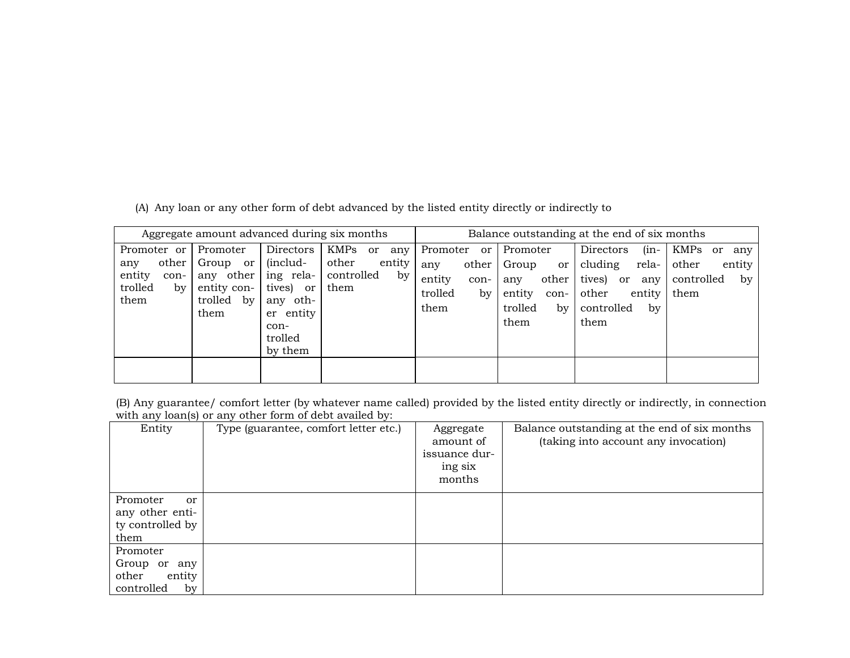(A) Any loan or any other form of debt advanced by the listed entity directly or indirectly to

|                                                                                           | Aggregate amount advanced during six months                                                                                                                                              |                                                               |                                                                           |                                                                                    | Balance outstanding at the end of six months                                                                             |                                                               |
|-------------------------------------------------------------------------------------------|------------------------------------------------------------------------------------------------------------------------------------------------------------------------------------------|---------------------------------------------------------------|---------------------------------------------------------------------------|------------------------------------------------------------------------------------|--------------------------------------------------------------------------------------------------------------------------|---------------------------------------------------------------|
| Promoter or<br>other<br>any<br>entity<br>con-<br>trolled<br>by<br>trolled<br>them<br>them | Directors<br>Promoter<br>(includ-<br>Group or<br>any other<br>ing rela-<br>entity con-<br>tives) or<br>$\mathbf{b} \mathbf{v}$<br>any oth-<br>entity<br>er<br>con-<br>trolled<br>by them | KMPs or<br>any<br>other<br>entity<br>controlled<br>by<br>them | Promoter<br>or<br>other<br>any<br>entity<br>con-<br>trolled<br>by<br>them | Promoter<br>Group<br>or<br>other<br>any<br>entity<br>con-<br>trolled<br>by<br>them | $(in-$<br>Directors<br>cluding<br>rela-<br>tives)<br><sub>or</sub><br>any<br>other<br>entity<br>controlled<br>by<br>them | KMPs or<br>any<br>entity<br>other<br>controlled<br>by<br>them |

(B) Any guarantee/ comfort letter (by whatever name called) provided by the listed entity directly or indirectly, in connection with any loan(s) or any other form of debt availed by:

| Entity                                                             | Type (guarantee, comfort letter etc.) | Aggregate<br>amount of<br>issuance dur-<br>ing six<br>months | Balance outstanding at the end of six months<br>(taking into account any invocation) |
|--------------------------------------------------------------------|---------------------------------------|--------------------------------------------------------------|--------------------------------------------------------------------------------------|
| Promoter<br>or<br>any other enti-<br>ty controlled by<br>them      |                                       |                                                              |                                                                                      |
| Promoter<br>Group or<br>any<br>other<br>entity<br>controlled<br>by |                                       |                                                              |                                                                                      |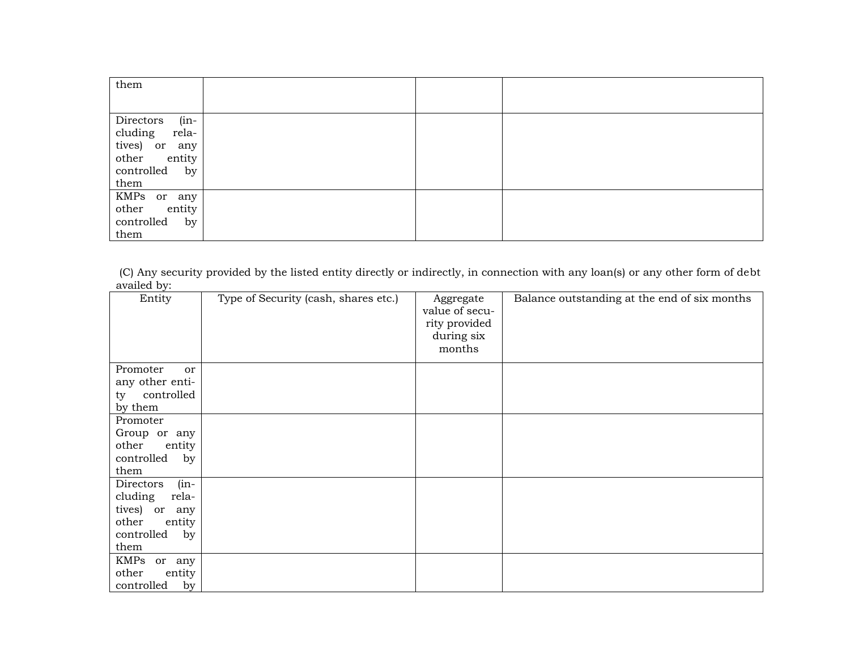| them                 |  |  |
|----------------------|--|--|
|                      |  |  |
| $(in -$<br>Directors |  |  |
| cluding<br>rela-     |  |  |
| tives) or any        |  |  |
| other<br>entity      |  |  |
| controlled<br>by     |  |  |
| them                 |  |  |
| KMPs or any          |  |  |
| other<br>entity      |  |  |
| controlled<br>by     |  |  |
| them                 |  |  |

(C) Any security provided by the listed entity directly or indirectly, in connection with any loan(s) or any other form of debt availed by:

| Entity                                                                                                   | Type of Security (cash, shares etc.) | Aggregate<br>value of secu-<br>rity provided<br>during six<br>months | Balance outstanding at the end of six months |
|----------------------------------------------------------------------------------------------------------|--------------------------------------|----------------------------------------------------------------------|----------------------------------------------|
| Promoter<br>or<br>any other enti-                                                                        |                                      |                                                                      |                                              |
| controlled<br>ty<br>by them                                                                              |                                      |                                                                      |                                              |
| Promoter<br>Group or any<br>other<br>entity<br>controlled<br>by<br>them                                  |                                      |                                                                      |                                              |
| Directors<br>$(in -$<br>cluding<br>rela-<br>tives) or any<br>other<br>entity<br>controlled<br>by<br>them |                                      |                                                                      |                                              |
| KMPs or any<br>other<br>entity<br>controlled<br>by                                                       |                                      |                                                                      |                                              |